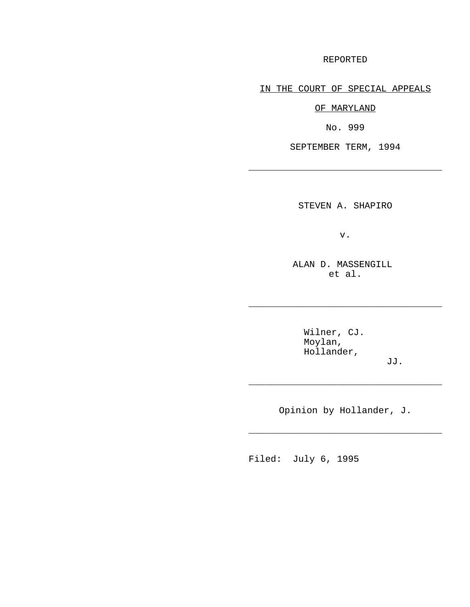REPORTED

IN THE COURT OF SPECIAL APPEALS

OF MARYLAND

No. 999

SEPTEMBER TERM, 1994

\_\_\_\_\_\_\_\_\_\_\_\_\_\_\_\_\_\_\_\_\_\_\_\_\_\_\_\_\_\_\_\_\_\_\_

STEVEN A. SHAPIRO

v.

ALAN D. MASSENGILL et al.

\_\_\_\_\_\_\_\_\_\_\_\_\_\_\_\_\_\_\_\_\_\_\_\_\_\_\_\_\_\_\_\_\_\_\_

Wilner, CJ. Moylan, Hollander,

JJ.

Opinion by Hollander, J.

\_\_\_\_\_\_\_\_\_\_\_\_\_\_\_\_\_\_\_\_\_\_\_\_\_\_\_\_\_\_\_\_\_\_\_

\_\_\_\_\_\_\_\_\_\_\_\_\_\_\_\_\_\_\_\_\_\_\_\_\_\_\_\_\_\_\_\_\_\_\_

Filed: July 6, 1995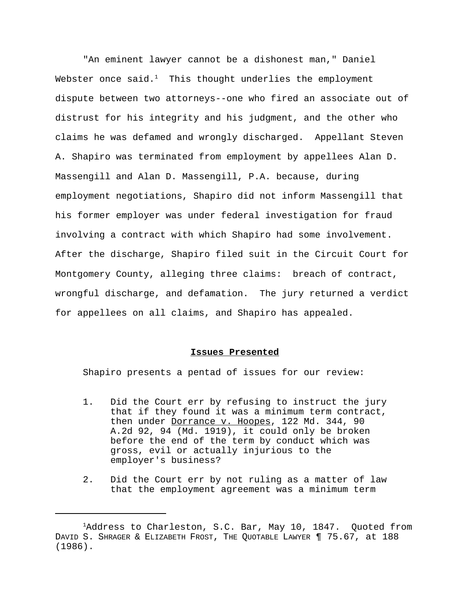"An eminent lawyer cannot be a dishonest man," Daniel Webster once said.<sup>1</sup> This thought underlies the employment dispute between two attorneys--one who fired an associate out of distrust for his integrity and his judgment, and the other who claims he was defamed and wrongly discharged. Appellant Steven A. Shapiro was terminated from employment by appellees Alan D. Massengill and Alan D. Massengill, P.A. because, during employment negotiations, Shapiro did not inform Massengill that his former employer was under federal investigation for fraud involving a contract with which Shapiro had some involvement. After the discharge, Shapiro filed suit in the Circuit Court for Montgomery County, alleging three claims: breach of contract, wrongful discharge, and defamation. The jury returned a verdict for appellees on all claims, and Shapiro has appealed.

#### **Issues Presented**

Shapiro presents a pentad of issues for our review:

- 1. Did the Court err by refusing to instruct the jury that if they found it was a minimum term contract, then under Dorrance v. Hoopes, 122 Md. 344, 90 A.2d 92, 94 (Md. 1919), it could only be broken before the end of the term by conduct which was gross, evil or actually injurious to the employer's business?
- 2. Did the Court err by not ruling as a matter of law that the employment agreement was a minimum term

 $1$ Address to Charleston, S.C. Bar, May 10, 1847. Quoted from DAVID S. SHRAGER & ELIZABETH FROST, THE QUOTABLE LAWYER ¶ 75.67, at 188 (1986).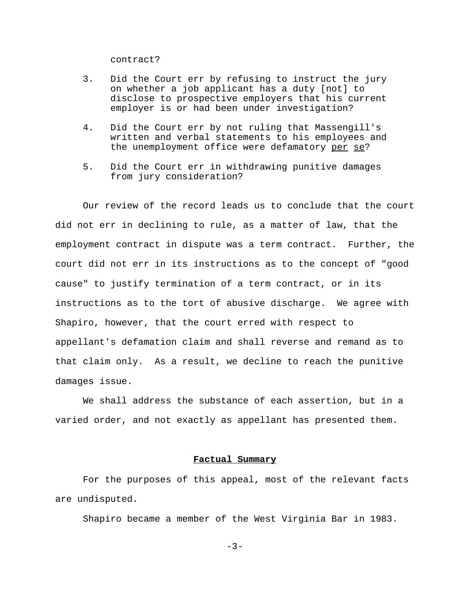contract?

- 3. Did the Court err by refusing to instruct the jury on whether a job applicant has a duty [not] to disclose to prospective employers that his current employer is or had been under investigation?
- 4. Did the Court err by not ruling that Massengill's written and verbal statements to his employees and the unemployment office were defamatory per se?
- 5. Did the Court err in withdrawing punitive damages from jury consideration?

Our review of the record leads us to conclude that the court did not err in declining to rule, as a matter of law, that the employment contract in dispute was a term contract. Further, the court did not err in its instructions as to the concept of "good cause" to justify termination of a term contract, or in its instructions as to the tort of abusive discharge. We agree with Shapiro, however, that the court erred with respect to appellant's defamation claim and shall reverse and remand as to that claim only. As a result, we decline to reach the punitive damages issue.

We shall address the substance of each assertion, but in a varied order, and not exactly as appellant has presented them.

### **Factual Summary**

For the purposes of this appeal, most of the relevant facts are undisputed.

Shapiro became a member of the West Virginia Bar in 1983.

 $-3-$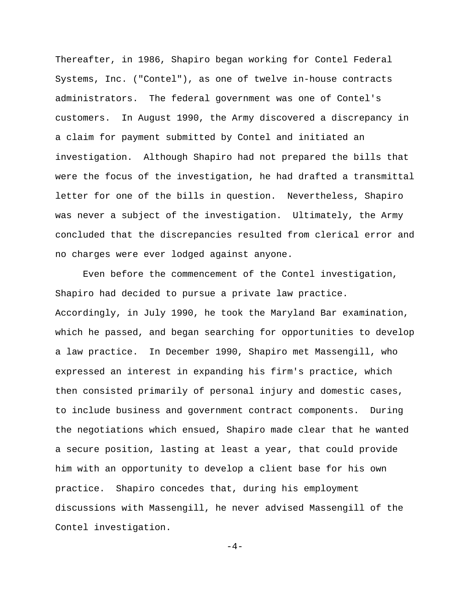Thereafter, in 1986, Shapiro began working for Contel Federal Systems, Inc. ("Contel"), as one of twelve in-house contracts administrators. The federal government was one of Contel's customers. In August 1990, the Army discovered a discrepancy in a claim for payment submitted by Contel and initiated an investigation. Although Shapiro had not prepared the bills that were the focus of the investigation, he had drafted a transmittal letter for one of the bills in question. Nevertheless, Shapiro was never a subject of the investigation. Ultimately, the Army concluded that the discrepancies resulted from clerical error and no charges were ever lodged against anyone.

Even before the commencement of the Contel investigation, Shapiro had decided to pursue a private law practice. Accordingly, in July 1990, he took the Maryland Bar examination, which he passed, and began searching for opportunities to develop a law practice. In December 1990, Shapiro met Massengill, who expressed an interest in expanding his firm's practice, which then consisted primarily of personal injury and domestic cases, to include business and government contract components. During the negotiations which ensued, Shapiro made clear that he wanted a secure position, lasting at least a year, that could provide him with an opportunity to develop a client base for his own practice. Shapiro concedes that, during his employment discussions with Massengill, he never advised Massengill of the Contel investigation.

 $-4-$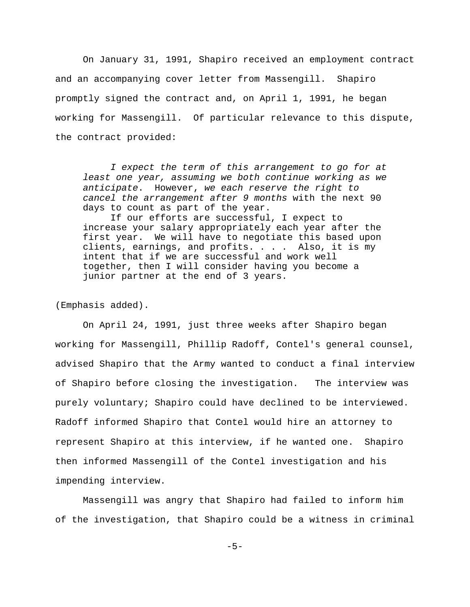On January 31, 1991, Shapiro received an employment contract and an accompanying cover letter from Massengill. Shapiro promptly signed the contract and, on April 1, 1991, he began working for Massengill. Of particular relevance to this dispute, the contract provided:

*I expect the term of this arrangement to go for at least one year, assuming we both continue working as we anticipate*. However, *we each reserve the right to cancel the arrangement after 9 months* with the next 90 days to count as part of the year.

If our efforts are successful, I expect to increase your salary appropriately each year after the first year. We will have to negotiate this based upon clients, earnings, and profits. . . . Also, it is my intent that if we are successful and work well together, then I will consider having you become a junior partner at the end of 3 years.

(Emphasis added).

On April 24, 1991, just three weeks after Shapiro began working for Massengill, Phillip Radoff, Contel's general counsel, advised Shapiro that the Army wanted to conduct a final interview of Shapiro before closing the investigation. The interview was purely voluntary; Shapiro could have declined to be interviewed. Radoff informed Shapiro that Contel would hire an attorney to represent Shapiro at this interview, if he wanted one. Shapiro then informed Massengill of the Contel investigation and his impending interview.

Massengill was angry that Shapiro had failed to inform him of the investigation, that Shapiro could be a witness in criminal

-5-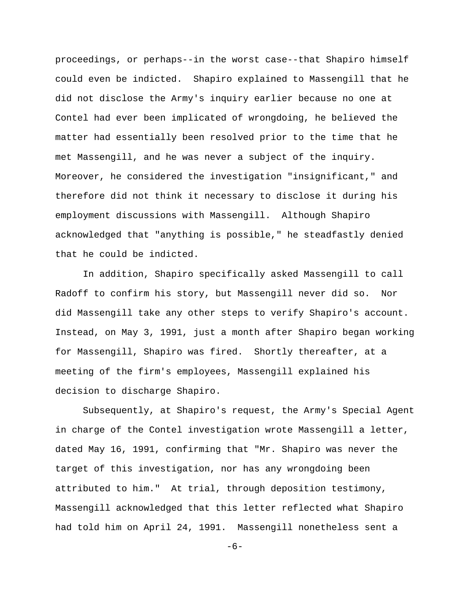proceedings, or perhaps--in the worst case--that Shapiro himself could even be indicted. Shapiro explained to Massengill that he did not disclose the Army's inquiry earlier because no one at Contel had ever been implicated of wrongdoing, he believed the matter had essentially been resolved prior to the time that he met Massengill, and he was never a subject of the inquiry. Moreover, he considered the investigation "insignificant," and therefore did not think it necessary to disclose it during his employment discussions with Massengill. Although Shapiro acknowledged that "anything is possible," he steadfastly denied that he could be indicted.

In addition, Shapiro specifically asked Massengill to call Radoff to confirm his story, but Massengill never did so. Nor did Massengill take any other steps to verify Shapiro's account. Instead, on May 3, 1991, just a month after Shapiro began working for Massengill, Shapiro was fired. Shortly thereafter, at a meeting of the firm's employees, Massengill explained his decision to discharge Shapiro.

Subsequently, at Shapiro's request, the Army's Special Agent in charge of the Contel investigation wrote Massengill a letter, dated May 16, 1991, confirming that "Mr. Shapiro was never the target of this investigation, nor has any wrongdoing been attributed to him." At trial, through deposition testimony, Massengill acknowledged that this letter reflected what Shapiro had told him on April 24, 1991. Massengill nonetheless sent a

-6-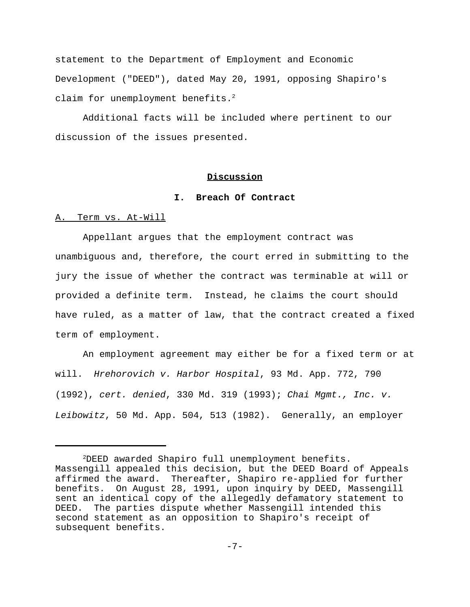statement to the Department of Employment and Economic Development ("DEED"), dated May 20, 1991, opposing Shapiro's claim for unemployment benefits.<sup>2</sup>

Additional facts will be included where pertinent to our discussion of the issues presented.

# **Discussion**

### **I. Breach Of Contract**

### A. Term vs. At-Will

Appellant argues that the employment contract was unambiguous and, therefore, the court erred in submitting to the jury the issue of whether the contract was terminable at will or provided a definite term. Instead, he claims the court should have ruled, as a matter of law, that the contract created a fixed term of employment.

An employment agreement may either be for a fixed term or at will. *Hrehorovich v. Harbor Hospital*, 93 Md. App. 772, 790 (1992), *cert. denied*, 330 Md. 319 (1993); *Chai Mgmt., Inc. v. Leibowitz*, 50 Md. App. 504, 513 (1982). Generally, an employer

 $2$ DEED awarded Shapiro full unemployment benefits. Massengill appealed this decision, but the DEED Board of Appeals affirmed the award. Thereafter, Shapiro re-applied for further benefits. On August 28, 1991, upon inquiry by DEED, Massengill sent an identical copy of the allegedly defamatory statement to DEED. The parties dispute whether Massengill intended this second statement as an opposition to Shapiro's receipt of subsequent benefits.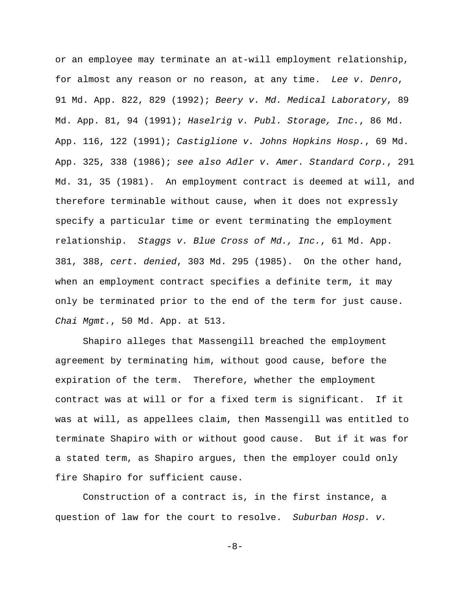or an employee may terminate an at-will employment relationship, for almost any reason or no reason, at any time. *Lee v. Denro*, 91 Md. App. 822, 829 (1992); *Beery v. Md. Medical Laboratory*, 89 Md. App. 81, 94 (1991); *Haselrig v. Publ. Storage, Inc.*, 86 Md. App. 116, 122 (1991); *Castiglione v. Johns Hopkins Hosp.*, 69 Md. App. 325, 338 (1986); *see also Adler v. Amer. Standard Corp.*, 291 Md. 31, 35 (1981). An employment contract is deemed at will, and therefore terminable without cause, when it does not expressly specify a particular time or event terminating the employment relationship. *Staggs v. Blue Cross of Md., Inc.*, 61 Md. App. 381, 388, *cert. denied*, 303 Md. 295 (1985). On the other hand, when an employment contract specifies a definite term, it may only be terminated prior to the end of the term for just cause. *Chai Mgmt.*, 50 Md. App. at 513.

Shapiro alleges that Massengill breached the employment agreement by terminating him, without good cause, before the expiration of the term. Therefore, whether the employment contract was at will or for a fixed term is significant. If it was at will, as appellees claim, then Massengill was entitled to terminate Shapiro with or without good cause. But if it was for a stated term, as Shapiro argues, then the employer could only fire Shapiro for sufficient cause.

Construction of a contract is, in the first instance, a question of law for the court to resolve. *Suburban Hosp. v.*

-8-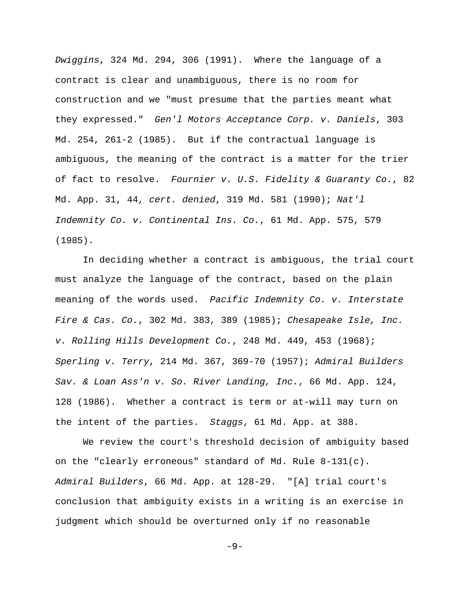*Dwiggins*, 324 Md. 294, 306 (1991). Where the language of a contract is clear and unambiguous, there is no room for construction and we "must presume that the parties meant what they expressed." *Gen'l Motors Acceptance Corp. v. Daniels*, 303 Md. 254, 261-2 (1985). But if the contractual language is ambiguous, the meaning of the contract is a matter for the trier of fact to resolve. *Fournier v. U.S. Fidelity & Guaranty Co.*, 82 Md. App. 31, 44, *cert. denied*, 319 Md. 581 (1990); *Nat'l Indemnity Co. v. Continental Ins. Co.*, 61 Md. App. 575, 579 (1985).

In deciding whether a contract is ambiguous, the trial court must analyze the language of the contract, based on the plain meaning of the words used. *Pacific Indemnity Co. v. Interstate Fire & Cas. Co.*, 302 Md. 383, 389 (1985); *Chesapeake Isle, Inc. v. Rolling Hills Development Co.*, 248 Md. 449, 453 (1968); *Sperling v. Terry*, 214 Md. 367, 369-70 (1957); *Admiral Builders Sav. & Loan Ass'n v. So. River Landing, Inc.*, 66 Md. App. 124, 128 (1986). Whether a contract is term or at-will may turn on the intent of the parties. *Staggs*, 61 Md. App. at 388.

We review the court's threshold decision of ambiguity based on the "clearly erroneous" standard of Md. Rule 8-131(c). *Admiral Builders*, 66 Md. App. at 128-29. "[A] trial court's conclusion that ambiguity exists in a writing is an exercise in judgment which should be overturned only if no reasonable

-9-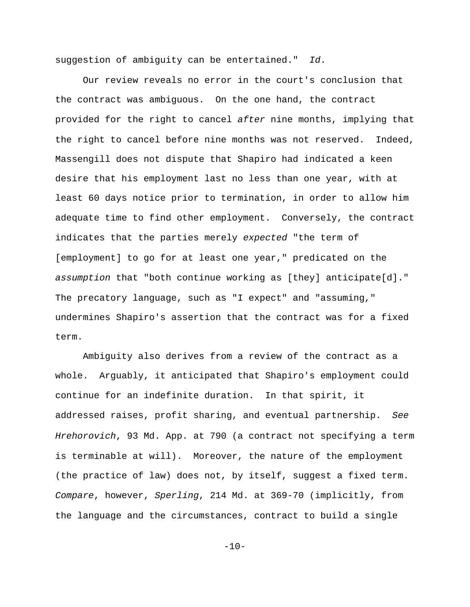suggestion of ambiguity can be entertained." *Id*.

Our review reveals no error in the court's conclusion that the contract was ambiguous. On the one hand, the contract provided for the right to cancel *after* nine months, implying that the right to cancel before nine months was not reserved. Indeed, Massengill does not dispute that Shapiro had indicated a keen desire that his employment last no less than one year, with at least 60 days notice prior to termination, in order to allow him adequate time to find other employment. Conversely, the contract indicates that the parties merely *expected* "the term of [employment] to go for at least one year," predicated on the *assumption* that "both continue working as [they] anticipate[d]." The precatory language, such as "I expect" and "assuming," undermines Shapiro's assertion that the contract was for a fixed term.

Ambiguity also derives from a review of the contract as a whole. Arguably, it anticipated that Shapiro's employment could continue for an indefinite duration. In that spirit, it addressed raises, profit sharing, and eventual partnership. *See Hrehorovich*, 93 Md. App. at 790 (a contract not specifying a term is terminable at will). Moreover, the nature of the employment (the practice of law) does not, by itself, suggest a fixed term. *Compare*, however, *Sperling*, 214 Md. at 369-70 (implicitly, from the language and the circumstances, contract to build a single

 $-10-$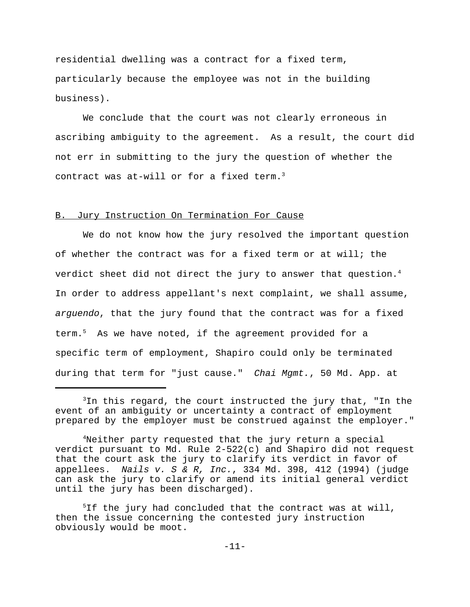residential dwelling was a contract for a fixed term, particularly because the employee was not in the building business).

We conclude that the court was not clearly erroneous in ascribing ambiguity to the agreement. As a result, the court did not err in submitting to the jury the question of whether the contract was at-will or for a fixed term.<sup>3</sup>

## B. Jury Instruction On Termination For Cause

We do not know how the jury resolved the important question of whether the contract was for a fixed term or at will; the verdict sheet did not direct the jury to answer that question.<sup>4</sup> In order to address appellant's next complaint, we shall assume, *arguendo*, that the jury found that the contract was for a fixed term. $5$  As we have noted, if the agreement provided for a specific term of employment, Shapiro could only be terminated during that term for "just cause." *Chai Mgmt.*, 50 Md. App. at

 $3$ In this regard, the court instructed the jury that, "In the event of an ambiguity or uncertainty a contract of employment prepared by the employer must be construed against the employer."

<sup>&</sup>lt;sup>4</sup>Neither party requested that the jury return a special verdict pursuant to Md. Rule 2-522(c) and Shapiro did not request that the court ask the jury to clarify its verdict in favor of appellees. *Nails v. S & R, Inc.*, 334 Md. 398, 412 (1994) (judge can ask the jury to clarify or amend its initial general verdict until the jury has been discharged).

 $5$ If the jury had concluded that the contract was at will, then the issue concerning the contested jury instruction obviously would be moot.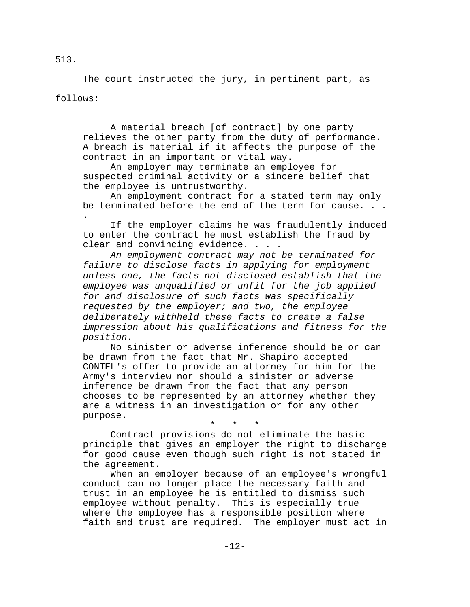The court instructed the jury, in pertinent part, as follows:

A material breach [of contract] by one party relieves the other party from the duty of performance. A breach is material if it affects the purpose of the contract in an important or vital way.

An employer may terminate an employee for suspected criminal activity or a sincere belief that the employee is untrustworthy.

An employment contract for a stated term may only be terminated before the end of the term for cause. . . .

If the employer claims he was fraudulently induced to enter the contract he must establish the fraud by clear and convincing evidence. . . .

*An employment contract may not be terminated for failure to disclose facts in applying for employment unless one, the facts not disclosed establish that the employee was unqualified or unfit for the job applied for and disclosure of such facts was specifically requested by the employer; and two, the employee deliberately withheld these facts to create a false impression about his qualifications and fitness for the position.*

No sinister or adverse inference should be or can be drawn from the fact that Mr. Shapiro accepted CONTEL's offer to provide an attorney for him for the Army's interview nor should a sinister or adverse inference be drawn from the fact that any person chooses to be represented by an attorney whether they are a witness in an investigation or for any other purpose.

\* \* \*

Contract provisions do not eliminate the basic principle that gives an employer the right to discharge for good cause even though such right is not stated in the agreement.

When an employer because of an employee's wrongful conduct can no longer place the necessary faith and trust in an employee he is entitled to dismiss such employee without penalty. This is especially true where the employee has a responsible position where faith and trust are required. The employer must act in

513.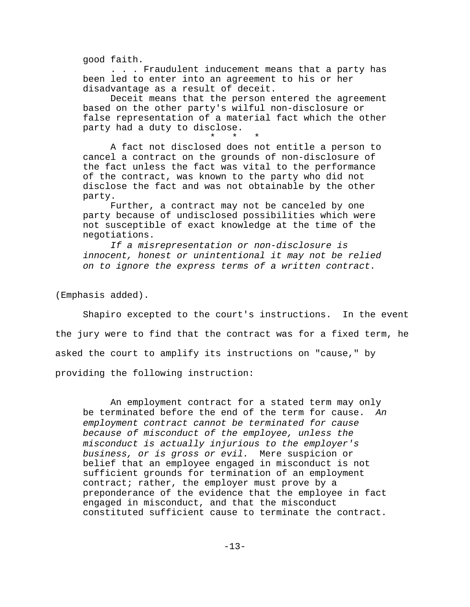good faith.

. . . Fraudulent inducement means that a party has been led to enter into an agreement to his or her disadvantage as a result of deceit.

Deceit means that the person entered the agreement based on the other party's wilful non-disclosure or false representation of a material fact which the other party had a duty to disclose.

\* \* \* A fact not disclosed does not entitle a person to cancel a contract on the grounds of non-disclosure of the fact unless the fact was vital to the performance of the contract, was known to the party who did not disclose the fact and was not obtainable by the other party.

Further, a contract may not be canceled by one party because of undisclosed possibilities which were not susceptible of exact knowledge at the time of the negotiations.

*If a misrepresentation or non-disclosure is innocent, honest or unintentional it may not be relied on to ignore the express terms of a written contract.*

(Emphasis added).

Shapiro excepted to the court's instructions. In the event the jury were to find that the contract was for a fixed term, he asked the court to amplify its instructions on "cause," by providing the following instruction:

An employment contract for a stated term may only be terminated before the end of the term for cause. *An employment contract cannot be terminated for cause because of misconduct of the employee, unless the misconduct is actually injurious to the employer's business, or is gross or evil.* Mere suspicion or belief that an employee engaged in misconduct is not sufficient grounds for termination of an employment contract; rather, the employer must prove by a preponderance of the evidence that the employee in fact engaged in misconduct, and that the misconduct constituted sufficient cause to terminate the contract.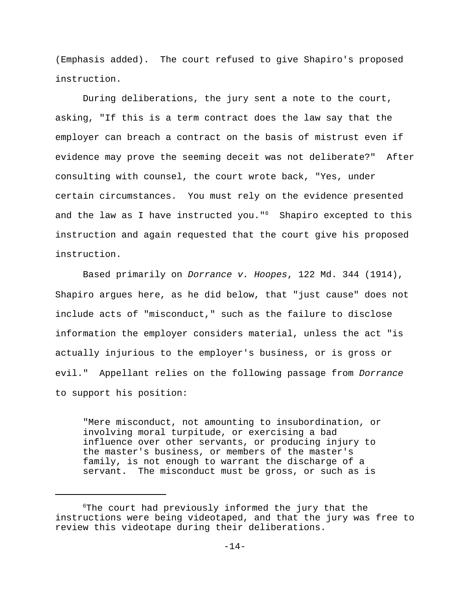(Emphasis added). The court refused to give Shapiro's proposed instruction.

During deliberations, the jury sent a note to the court, asking, "If this is a term contract does the law say that the employer can breach a contract on the basis of mistrust even if evidence may prove the seeming deceit was not deliberate?" After consulting with counsel, the court wrote back, "Yes, under certain circumstances. You must rely on the evidence presented and the law as I have instructed you." $6$  Shapiro excepted to this instruction and again requested that the court give his proposed instruction.

Based primarily on *Dorrance v. Hoopes*, 122 Md. 344 (1914), Shapiro argues here, as he did below, that "just cause" does not include acts of "misconduct," such as the failure to disclose information the employer considers material, unless the act "is actually injurious to the employer's business, or is gross or evil." Appellant relies on the following passage from *Dorrance* to support his position:

"Mere misconduct, not amounting to insubordination, or involving moral turpitude, or exercising a bad influence over other servants, or producing injury to the master's business, or members of the master's family, is not enough to warrant the discharge of a servant. The misconduct must be gross, or such as is

 $6$ The court had previously informed the jury that the instructions were being videotaped, and that the jury was free to review this videotape during their deliberations.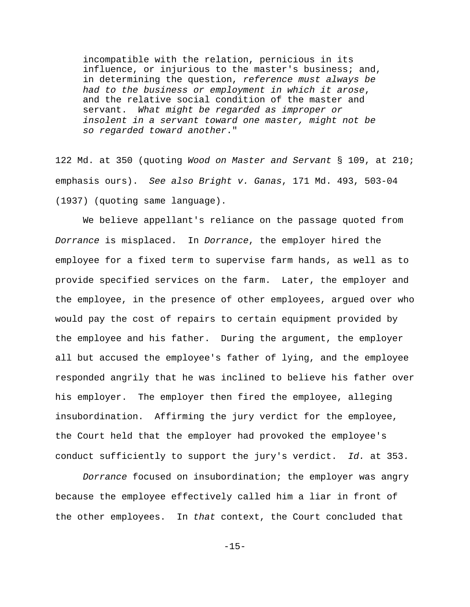incompatible with the relation, pernicious in its influence, or injurious to the master's business; and, in determining the question, *reference must always be had to the business or employment in which it arose*, and the relative social condition of the master and servant. *What might be regarded as improper or insolent in a servant toward one master, might not be so regarded toward another*."

122 Md. at 350 (quoting *Wood on Master and Servant* § 109, at 210; emphasis ours). *See also Bright v. Ganas*, 171 Md. 493, 503-04 (1937) (quoting same language).

We believe appellant's reliance on the passage quoted from *Dorrance* is misplaced. In *Dorrance*, the employer hired the employee for a fixed term to supervise farm hands, as well as to provide specified services on the farm. Later, the employer and the employee, in the presence of other employees, argued over who would pay the cost of repairs to certain equipment provided by the employee and his father. During the argument, the employer all but accused the employee's father of lying, and the employee responded angrily that he was inclined to believe his father over his employer. The employer then fired the employee, alleging insubordination. Affirming the jury verdict for the employee, the Court held that the employer had provoked the employee's conduct sufficiently to support the jury's verdict. *Id.* at 353.

*Dorrance* focused on insubordination; the employer was angry because the employee effectively called him a liar in front of the other employees. In *that* context, the Court concluded that

-15-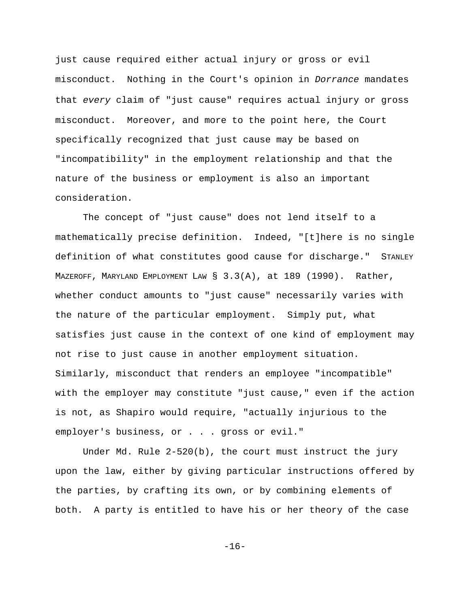just cause required either actual injury or gross or evil misconduct. Nothing in the Court's opinion in *Dorrance* mandates that *every* claim of "just cause" requires actual injury or gross misconduct. Moreover, and more to the point here, the Court specifically recognized that just cause may be based on "incompatibility" in the employment relationship and that the nature of the business or employment is also an important consideration.

The concept of "just cause" does not lend itself to a mathematically precise definition. Indeed, "[t]here is no single definition of what constitutes good cause for discharge." STANLEY MAZEROFF, MARYLAND EMPLOYMENT LAW § 3.3(A), at 189 (1990). Rather, whether conduct amounts to "just cause" necessarily varies with the nature of the particular employment. Simply put, what satisfies just cause in the context of one kind of employment may not rise to just cause in another employment situation. Similarly, misconduct that renders an employee "incompatible" with the employer may constitute "just cause," even if the action is not, as Shapiro would require, "actually injurious to the employer's business, or . . . gross or evil."

Under Md. Rule 2-520(b), the court must instruct the jury upon the law, either by giving particular instructions offered by the parties, by crafting its own, or by combining elements of both. A party is entitled to have his or her theory of the case

-16-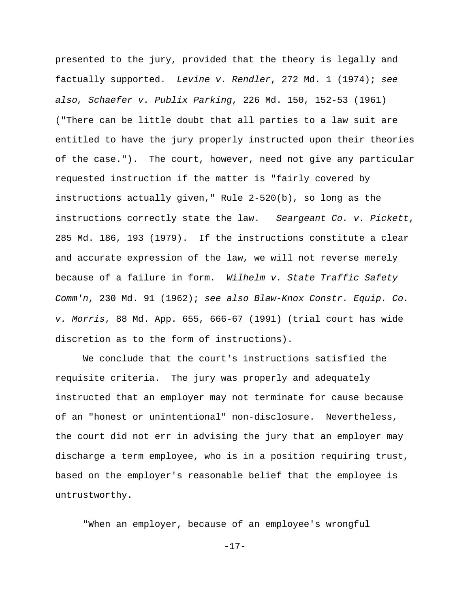presented to the jury, provided that the theory is legally and factually supported. *Levine v. Rendler*, 272 Md. 1 (1974); *see also, Schaefer v. Publix Parking*, 226 Md. 150, 152-53 (1961) ("There can be little doubt that all parties to a law suit are entitled to have the jury properly instructed upon their theories of the case."). The court, however, need not give any particular requested instruction if the matter is "fairly covered by instructions actually given," Rule 2-520(b), so long as the instructions correctly state the law. *Seargeant Co. v. Pickett*, 285 Md. 186, 193 (1979). If the instructions constitute a clear and accurate expression of the law, we will not reverse merely because of a failure in form. *Wilhelm v. State Traffic Safety Comm'n*, 230 Md. 91 (1962); *see also Blaw-Knox Constr. Equip. Co. v. Morris*, 88 Md. App. 655, 666-67 (1991) (trial court has wide discretion as to the form of instructions).

We conclude that the court's instructions satisfied the requisite criteria. The jury was properly and adequately instructed that an employer may not terminate for cause because of an "honest or unintentional" non-disclosure. Nevertheless, the court did not err in advising the jury that an employer may discharge a term employee, who is in a position requiring trust, based on the employer's reasonable belief that the employee is untrustworthy.

"When an employer, because of an employee's wrongful

-17-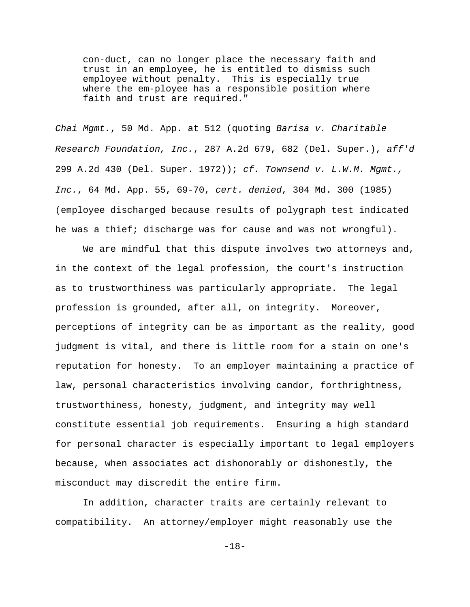con-duct, can no longer place the necessary faith and trust in an employee, he is entitled to dismiss such employee without penalty. This is especially true where the em-ployee has a responsible position where faith and trust are required."

*Chai Mgmt.*, 50 Md. App. at 512 (quoting *Barisa v. Charitable Research Foundation, Inc.*, 287 A.2d 679, 682 (Del. Super.), *aff'd* 299 A.2d 430 (Del. Super. 1972)); *cf. Townsend v. L.W.M. Mgmt., Inc.*, 64 Md. App. 55, 69-70, *cert. denied*, 304 Md. 300 (1985) (employee discharged because results of polygraph test indicated he was a thief; discharge was for cause and was not wrongful).

We are mindful that this dispute involves two attorneys and, in the context of the legal profession, the court's instruction as to trustworthiness was particularly appropriate. The legal profession is grounded, after all, on integrity. Moreover, perceptions of integrity can be as important as the reality, good judgment is vital, and there is little room for a stain on one's reputation for honesty. To an employer maintaining a practice of law, personal characteristics involving candor, forthrightness, trustworthiness, honesty, judgment, and integrity may well constitute essential job requirements. Ensuring a high standard for personal character is especially important to legal employers because, when associates act dishonorably or dishonestly, the misconduct may discredit the entire firm.

In addition, character traits are certainly relevant to compatibility. An attorney/employer might reasonably use the

-18-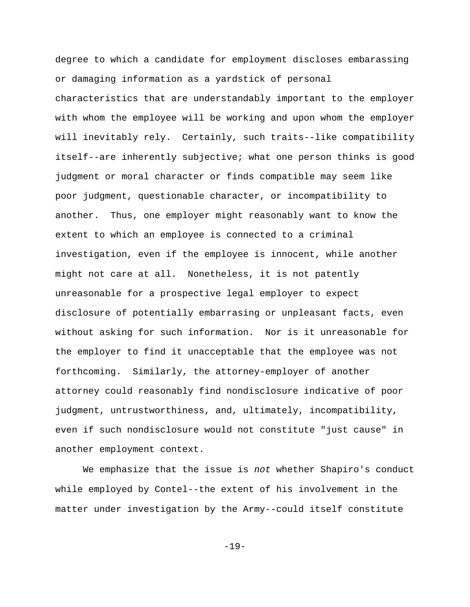degree to which a candidate for employment discloses embarassing or damaging information as a yardstick of personal characteristics that are understandably important to the employer with whom the employee will be working and upon whom the employer will inevitably rely. Certainly, such traits--like compatibility itself--are inherently subjective; what one person thinks is good judgment or moral character or finds compatible may seem like poor judgment, questionable character, or incompatibility to another. Thus, one employer might reasonably want to know the extent to which an employee is connected to a criminal investigation, even if the employee is innocent, while another might not care at all. Nonetheless, it is not patently unreasonable for a prospective legal employer to expect disclosure of potentially embarrasing or unpleasant facts, even without asking for such information. Nor is it unreasonable for the employer to find it unacceptable that the employee was not forthcoming. Similarly, the attorney-employer of another attorney could reasonably find nondisclosure indicative of poor judgment, untrustworthiness, and, ultimately, incompatibility, even if such nondisclosure would not constitute "just cause" in another employment context.

We emphasize that the issue is *not* whether Shapiro's conduct while employed by Contel--the extent of his involvement in the matter under investigation by the Army--could itself constitute

-19-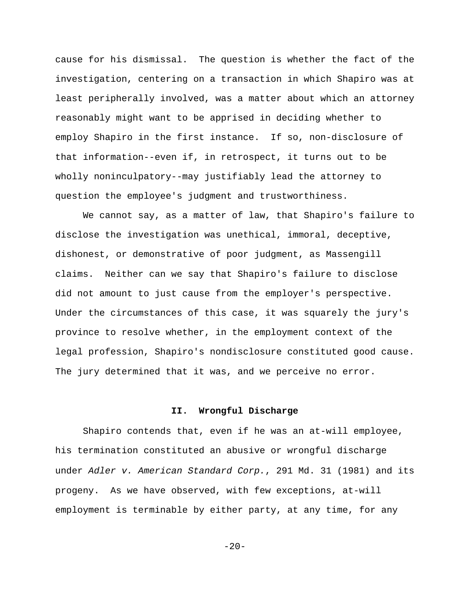cause for his dismissal. The question is whether the fact of the investigation, centering on a transaction in which Shapiro was at least peripherally involved, was a matter about which an attorney reasonably might want to be apprised in deciding whether to employ Shapiro in the first instance. If so, non-disclosure of that information--even if, in retrospect, it turns out to be wholly noninculpatory--may justifiably lead the attorney to question the employee's judgment and trustworthiness.

We cannot say, as a matter of law, that Shapiro's failure to disclose the investigation was unethical, immoral, deceptive, dishonest, or demonstrative of poor judgment, as Massengill claims. Neither can we say that Shapiro's failure to disclose did not amount to just cause from the employer's perspective. Under the circumstances of this case, it was squarely the jury's province to resolve whether, in the employment context of the legal profession, Shapiro's nondisclosure constituted good cause. The jury determined that it was, and we perceive no error.

### **II. Wrongful Discharge**

Shapiro contends that, even if he was an at-will employee, his termination constituted an abusive or wrongful discharge under *Adler v. American Standard Corp.*, 291 Md. 31 (1981) and its progeny. As we have observed, with few exceptions, at-will employment is terminable by either party, at any time, for any

 $-20-$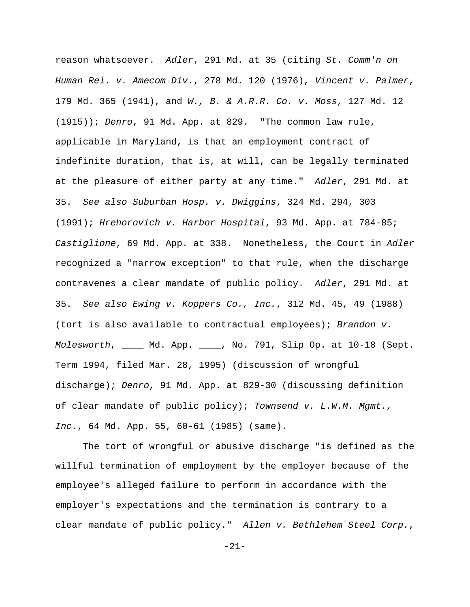reason whatsoever. *Adler*, 291 Md. at 35 (citing *St. Comm'n on Human Rel. v. Amecom Div.*, 278 Md. 120 (1976), *Vincent v. Palmer*, 179 Md. 365 (1941), and *W., B. & A.R.R. Co. v. Moss*, 127 Md. 12 (1915)); *Denro*, 91 Md. App. at 829. "The common law rule, applicable in Maryland, is that an employment contract of indefinite duration, that is, at will, can be legally terminated at the pleasure of either party at any time." *Adler*, 291 Md. at 35. *See also Suburban Hosp. v. Dwiggins*, 324 Md. 294, 303 (1991); *Hrehorovich v. Harbor Hospital*, 93 Md. App. at 784-85; *Castiglione*, 69 Md. App. at 338. Nonetheless, the Court in *Adler* recognized a "narrow exception" to that rule, when the discharge contravenes a clear mandate of public policy. *Adler*, 291 Md. at 35. *See also Ewing v. Koppers Co., Inc.*, 312 Md. 45, 49 (1988) (tort is also available to contractual employees); *Brandon v. Molesworth*, \_\_\_\_ Md. App. \_\_\_\_, No. 791, Slip Op. at 10-18 (Sept. Term 1994, filed Mar. 28, 1995) (discussion of wrongful discharge); *Denro*, 91 Md. App. at 829-30 (discussing definition of clear mandate of public policy); *Townsend v. L.W.M. Mgmt., Inc.*, 64 Md. App. 55, 60-61 (1985) (same).

The tort of wrongful or abusive discharge "is defined as the willful termination of employment by the employer because of the employee's alleged failure to perform in accordance with the employer's expectations and the termination is contrary to a clear mandate of public policy." *Allen v. Bethlehem Steel Corp.*,

-21-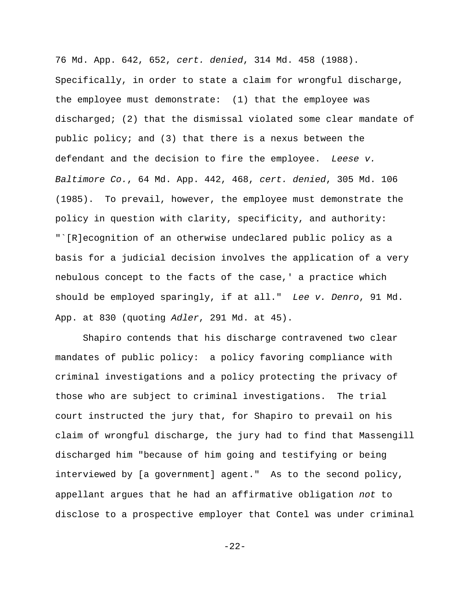76 Md. App. 642, 652, *cert. denied*, 314 Md. 458 (1988). Specifically, in order to state a claim for wrongful discharge, the employee must demonstrate: (1) that the employee was discharged; (2) that the dismissal violated some clear mandate of public policy; and (3) that there is a nexus between the defendant and the decision to fire the employee. *Leese v. Baltimore Co.*, 64 Md. App. 442, 468, *cert. denied*, 305 Md. 106 (1985). To prevail, however, the employee must demonstrate the policy in question with clarity, specificity, and authority: "`[R]ecognition of an otherwise undeclared public policy as a basis for a judicial decision involves the application of a very nebulous concept to the facts of the case,' a practice which should be employed sparingly, if at all." *Lee v. Denro*, 91 Md. App. at 830 (quoting *Adler*, 291 Md. at 45).

Shapiro contends that his discharge contravened two clear mandates of public policy: a policy favoring compliance with criminal investigations and a policy protecting the privacy of those who are subject to criminal investigations. The trial court instructed the jury that, for Shapiro to prevail on his claim of wrongful discharge, the jury had to find that Massengill discharged him "because of him going and testifying or being interviewed by [a government] agent." As to the second policy, appellant argues that he had an affirmative obligation *not* to disclose to a prospective employer that Contel was under criminal

-22-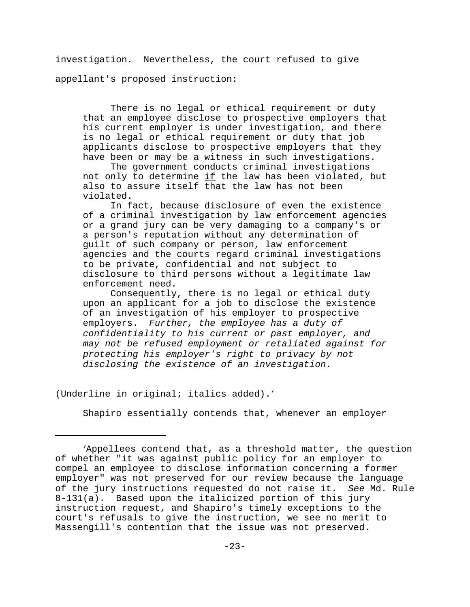investigation. Nevertheless, the court refused to give appellant's proposed instruction:

There is no legal or ethical requirement or duty that an employee disclose to prospective employers that his current employer is under investigation, and there is no legal or ethical requirement or duty that job applicants disclose to prospective employers that they have been or may be a witness in such investigations.

The government conducts criminal investigations not only to determine if the law has been violated, but also to assure itself that the law has not been violated.

In fact, because disclosure of even the existence of a criminal investigation by law enforcement agencies or a grand jury can be very damaging to a company's or a person's reputation without any determination of guilt of such company or person, law enforcement agencies and the courts regard criminal investigations to be private, confidential and not subject to disclosure to third persons without a legitimate law enforcement need.

Consequently, there is no legal or ethical duty upon an applicant for a job to disclose the existence of an investigation of his employer to prospective employers. *Further, the employee has a duty of confidentiality to his current or past employer, and may not be refused employment or retaliated against for protecting his employer's right to privacy by not disclosing the existence of an investigation*.

(Underline in original; italics added).<sup>7</sup>

Shapiro essentially contends that, whenever an employer

 $7$ Appellees contend that, as a threshold matter, the question of whether "it was against public policy for an employer to compel an employee to disclose information concerning a former employer" was not preserved for our review because the language of the jury instructions requested do not raise it. *See* Md. Rule 8-131(a). Based upon the italicized portion of this jury instruction request, and Shapiro's timely exceptions to the court's refusals to give the instruction, we see no merit to Massengill's contention that the issue was not preserved.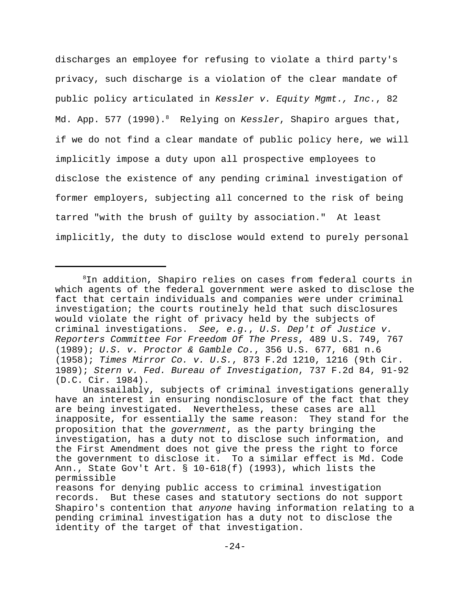discharges an employee for refusing to violate a third party's privacy, such discharge is a violation of the clear mandate of public policy articulated in *Kessler v. Equity Mgmt., Inc.*, 82 Md. App. 577 (1990).<sup>8</sup> Relying on *Kessler*, Shapiro argues that, if we do not find a clear mandate of public policy here, we will implicitly impose a duty upon all prospective employees to disclose the existence of any pending criminal investigation of former employers, subjecting all concerned to the risk of being tarred "with the brush of guilty by association." At least implicitly, the duty to disclose would extend to purely personal

 ${}^{8}$ In addition, Shapiro relies on cases from federal courts in which agents of the federal government were asked to disclose the fact that certain individuals and companies were under criminal investigation; the courts routinely held that such disclosures would violate the right of privacy held by the subjects of criminal investigations. *See, e.g.*, *U.S. Dep't of Justice v. Reporters Committee For Freedom Of The Press*, 489 U.S. 749, 767 (1989); *U.S. v. Proctor & Gamble Co.*, 356 U.S. 677, 681 n.6 (1958); *Times Mirror Co. v. U.S.*, 873 F.2d 1210, 1216 (9th Cir. 1989); *Stern v. Fed. Bureau of Investigation*, 737 F.2d 84, 91-92 (D.C. Cir. 1984).

Unassailably, subjects of criminal investigations generally have an interest in ensuring nondisclosure of the fact that they are being investigated. Nevertheless, these cases are all inapposite, for essentially the same reason: They stand for the proposition that the *government*, as the party bringing the investigation, has a duty not to disclose such information, and the First Amendment does not give the press the right to force the government to disclose it. To a similar effect is Md. Code Ann., State Gov't Art. § 10-618(f) (1993), which lists the permissible

reasons for denying public access to criminal investigation records. But these cases and statutory sections do not support Shapiro's contention that *anyone* having information relating to a pending criminal investigation has a duty not to disclose the identity of the target of that investigation.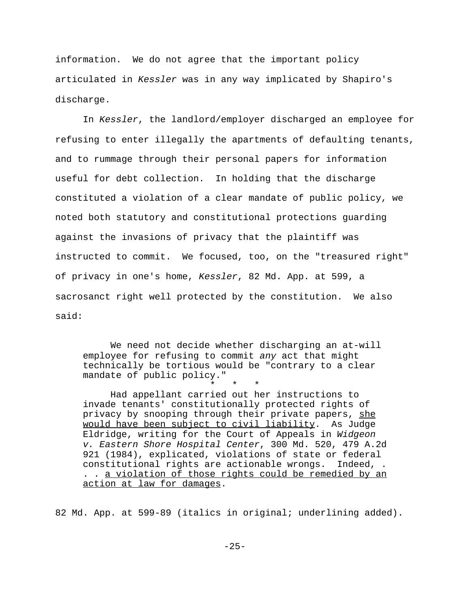information. We do not agree that the important policy articulated in *Kessler* was in any way implicated by Shapiro's discharge.

In *Kessler*, the landlord/employer discharged an employee for refusing to enter illegally the apartments of defaulting tenants, and to rummage through their personal papers for information useful for debt collection. In holding that the discharge constituted a violation of a clear mandate of public policy, we noted both statutory and constitutional protections guarding against the invasions of privacy that the plaintiff was instructed to commit. We focused, too, on the "treasured right" of privacy in one's home, *Kessler*, 82 Md. App. at 599, a sacrosanct right well protected by the constitution. We also said:

We need not decide whether discharging an at-will employee for refusing to commit *any* act that might technically be tortious would be "contrary to a clear mandate of public policy."

\* \* \* Had appellant carried out her instructions to invade tenants' constitutionally protected rights of privacy by snooping through their private papers, she would have been subject to civil liability. As Judge Eldridge, writing for the Court of Appeals in *Widgeon v. Eastern Shore Hospital Center*, 300 Md. 520, 479 A.2d 921 (1984), explicated, violations of state or federal constitutional rights are actionable wrongs. Indeed, . . . a violation of those rights could be remedied by an action at law for damages.

82 Md. App. at 599-89 (italics in original; underlining added).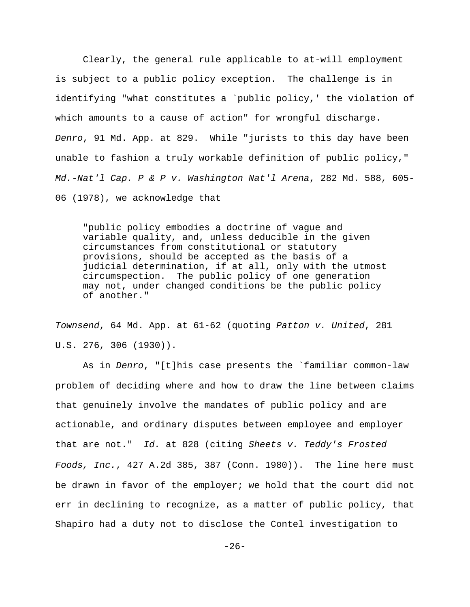Clearly, the general rule applicable to at-will employment is subject to a public policy exception. The challenge is in identifying "what constitutes a `public policy,' the violation of which amounts to a cause of action" for wrongful discharge. *Denro*, 91 Md. App. at 829. While "jurists to this day have been unable to fashion a truly workable definition of public policy," *Md.-Nat'l Cap. P & P v. Washington Nat'l Arena*, 282 Md. 588, 605- 06 (1978), we acknowledge that

"public policy embodies a doctrine of vague and variable quality, and, unless deducible in the given circumstances from constitutional or statutory provisions, should be accepted as the basis of a judicial determination, if at all, only with the utmost circumspection. The public policy of one generation may not, under changed conditions be the public policy of another."

*Townsend*, 64 Md. App. at 61-62 (quoting *Patton v. United*, 281 U.S. 276, 306 (1930)).

As in *Denro*, "[t]his case presents the `familiar common-law problem of deciding where and how to draw the line between claims that genuinely involve the mandates of public policy and are actionable, and ordinary disputes between employee and employer that are not." *Id.* at 828 (citing *Sheets v. Teddy's Frosted Foods, Inc.*, 427 A.2d 385, 387 (Conn. 1980)). The line here must be drawn in favor of the employer; we hold that the court did not err in declining to recognize, as a matter of public policy, that Shapiro had a duty not to disclose the Contel investigation to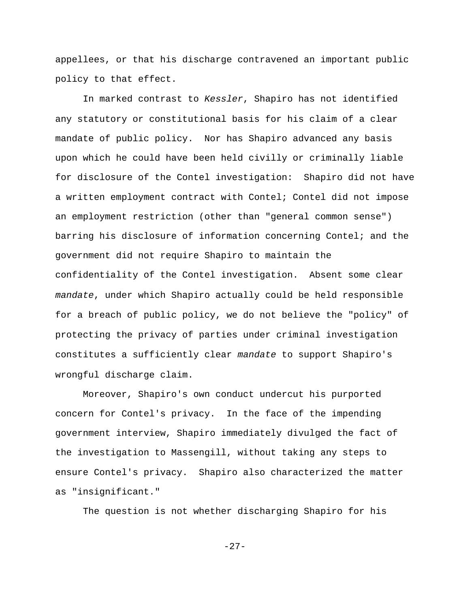appellees, or that his discharge contravened an important public policy to that effect.

In marked contrast to *Kessler*, Shapiro has not identified any statutory or constitutional basis for his claim of a clear mandate of public policy. Nor has Shapiro advanced any basis upon which he could have been held civilly or criminally liable for disclosure of the Contel investigation: Shapiro did not have a written employment contract with Contel; Contel did not impose an employment restriction (other than "general common sense") barring his disclosure of information concerning Contel; and the government did not require Shapiro to maintain the confidentiality of the Contel investigation. Absent some clear *mandate*, under which Shapiro actually could be held responsible for a breach of public policy, we do not believe the "policy" of protecting the privacy of parties under criminal investigation constitutes a sufficiently clear *mandate* to support Shapiro's wrongful discharge claim.

Moreover, Shapiro's own conduct undercut his purported concern for Contel's privacy. In the face of the impending government interview, Shapiro immediately divulged the fact of the investigation to Massengill, without taking any steps to ensure Contel's privacy. Shapiro also characterized the matter as "insignificant."

The question is not whether discharging Shapiro for his

-27-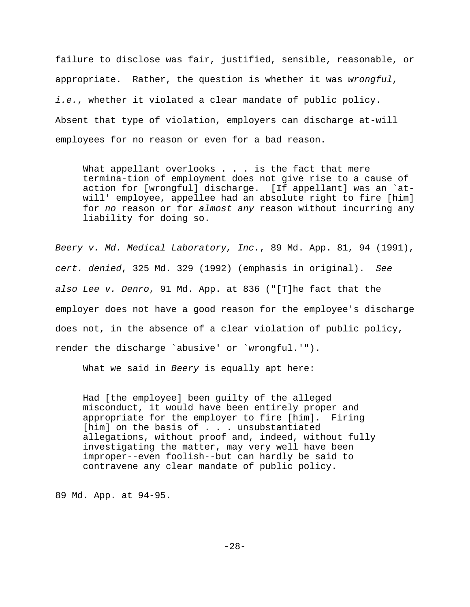failure to disclose was fair, justified, sensible, reasonable, or appropriate. Rather, the question is whether it was *wrongful*, *i.e.*, whether it violated a clear mandate of public policy. Absent that type of violation, employers can discharge at-will employees for no reason or even for a bad reason.

What appellant overlooks . . . is the fact that mere termina-tion of employment does not give rise to a cause of action for [wrongful] discharge. [If appellant] was an `atwill' employee, appellee had an absolute right to fire [him] for *no* reason or for *almost any* reason without incurring any liability for doing so.

*Beery v. Md. Medical Laboratory, Inc.*, 89 Md. App. 81, 94 (1991), *cert. denied*, 325 Md. 329 (1992) (emphasis in original). *See also Lee v. Denro*, 91 Md. App. at 836 ("[T]he fact that the employer does not have a good reason for the employee's discharge does not, in the absence of a clear violation of public policy, render the discharge `abusive' or `wrongful.'").

What we said in *Beery* is equally apt here:

Had [the employee] been guilty of the alleged misconduct, it would have been entirely proper and appropriate for the employer to fire [him]. Firing [him] on the basis of . . . unsubstantiated allegations, without proof and, indeed, without fully investigating the matter, may very well have been improper--even foolish--but can hardly be said to contravene any clear mandate of public policy.

89 Md. App. at 94-95.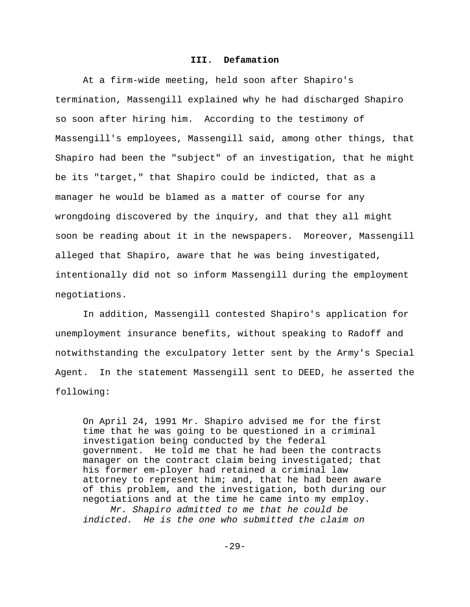### **III. Defamation**

At a firm-wide meeting, held soon after Shapiro's termination, Massengill explained why he had discharged Shapiro so soon after hiring him. According to the testimony of Massengill's employees, Massengill said, among other things, that Shapiro had been the "subject" of an investigation, that he might be its "target," that Shapiro could be indicted, that as a manager he would be blamed as a matter of course for any wrongdoing discovered by the inquiry, and that they all might soon be reading about it in the newspapers. Moreover, Massengill alleged that Shapiro, aware that he was being investigated, intentionally did not so inform Massengill during the employment negotiations.

In addition, Massengill contested Shapiro's application for unemployment insurance benefits, without speaking to Radoff and notwithstanding the exculpatory letter sent by the Army's Special Agent. In the statement Massengill sent to DEED, he asserted the following:

On April 24, 1991 Mr. Shapiro advised me for the first time that he was going to be questioned in a criminal investigation being conducted by the federal government. He told me that he had been the contracts manager on the contract claim being investigated; that his former em-ployer had retained a criminal law attorney to represent him; and, that he had been aware of this problem, and the investigation, both during our negotiations and at the time he came into my employ. *Mr. Shapiro admitted to me that he could be*

*indicted. He is the one who submitted the claim on*

-29-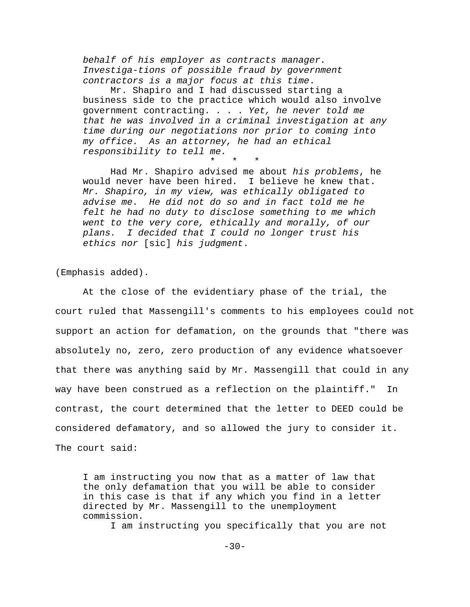*behalf of his employer as contracts manager. Investiga-tions of possible fraud by government contractors is a major focus at this time*.

Mr. Shapiro and I had discussed starting a business side to the practice which would also involve government contracting. . . . *Yet, he never told me that he was involved in a criminal investigation at any time during our negotiations nor prior to coming into my office. As an attorney, he had an ethical responsibility to tell me.*

\* \* \*

Had Mr. Shapiro advised me about *his problems*, he would never have been hired. I believe he knew that. *Mr. Shapiro, in my view, was ethically obligated to advise me. He did not do so and in fact told me he felt he had no duty to disclose something to me which went to the very core, ethically and morally, of our plans. I decided that I could no longer trust his ethics nor* [sic] *his judgment*.

(Emphasis added).

At the close of the evidentiary phase of the trial, the court ruled that Massengill's comments to his employees could not support an action for defamation, on the grounds that "there was absolutely no, zero, zero production of any evidence whatsoever that there was anything said by Mr. Massengill that could in any way have been construed as a reflection on the plaintiff." In contrast, the court determined that the letter to DEED could be considered defamatory, and so allowed the jury to consider it. The court said:

I am instructing you now that as a matter of law that the only defamation that you will be able to consider in this case is that if any which you find in a letter directed by Mr. Massengill to the unemployment commission.

I am instructing you specifically that you are not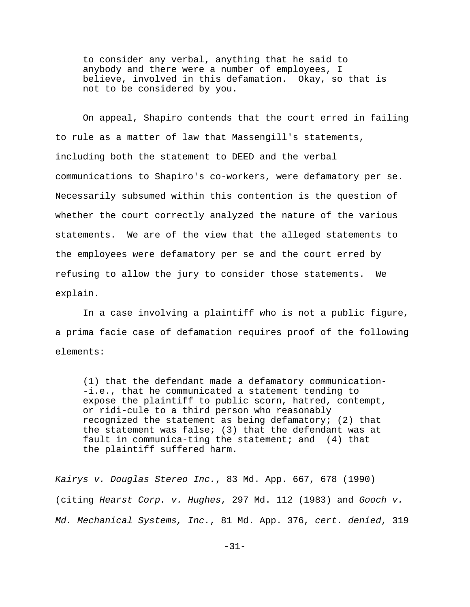to consider any verbal, anything that he said to anybody and there were a number of employees, I believe, involved in this defamation. Okay, so that is not to be considered by you.

On appeal, Shapiro contends that the court erred in failing to rule as a matter of law that Massengill's statements, including both the statement to DEED and the verbal communications to Shapiro's co-workers, were defamatory per se. Necessarily subsumed within this contention is the question of whether the court correctly analyzed the nature of the various statements. We are of the view that the alleged statements to the employees were defamatory per se and the court erred by refusing to allow the jury to consider those statements. We explain.

In a case involving a plaintiff who is not a public figure, a prima facie case of defamation requires proof of the following elements:

(1) that the defendant made a defamatory communication- -i.e., that he communicated a statement tending to expose the plaintiff to public scorn, hatred, contempt, or ridi-cule to a third person who reasonably recognized the statement as being defamatory; (2) that the statement was false; (3) that the defendant was at fault in communica-ting the statement; and (4) that the plaintiff suffered harm.

*Kairys v. Douglas Stereo Inc.*, 83 Md. App. 667, 678 (1990) (citing *Hearst Corp. v. Hughes*, 297 Md. 112 (1983) and *Gooch v. Md. Mechanical Systems, Inc.*, 81 Md. App. 376, *cert. denied*, 319

-31-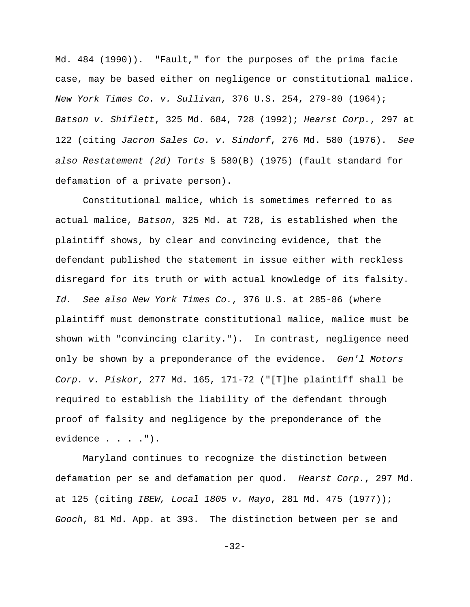Md. 484 (1990)). "Fault," for the purposes of the prima facie case, may be based either on negligence or constitutional malice. *New York Times Co. v. Sullivan*, 376 U.S. 254, 279-80 (1964); *Batson v. Shiflett*, 325 Md. 684, 728 (1992); *Hearst Corp.*, 297 at 122 (citing *Jacron Sales Co. v. Sindorf*, 276 Md. 580 (1976). *See also Restatement (2d) Torts* § 580(B) (1975) (fault standard for defamation of a private person).

Constitutional malice, which is sometimes referred to as actual malice, *Batson*, 325 Md. at 728, is established when the plaintiff shows, by clear and convincing evidence, that the defendant published the statement in issue either with reckless disregard for its truth or with actual knowledge of its falsity. *Id. See also New York Times Co.*, 376 U.S. at 285-86 (where plaintiff must demonstrate constitutional malice, malice must be shown with "convincing clarity."). In contrast, negligence need only be shown by a preponderance of the evidence. *Gen'l Motors Corp. v. Piskor*, 277 Md. 165, 171-72 ("[T]he plaintiff shall be required to establish the liability of the defendant through proof of falsity and negligence by the preponderance of the evidence . . . .").

Maryland continues to recognize the distinction between defamation per se and defamation per quod. *Hearst Corp.*, 297 Md. at 125 (citing *IBEW, Local 1805 v. Mayo*, 281 Md. 475 (1977)); *Gooch*, 81 Md. App. at 393. The distinction between per se and

-32-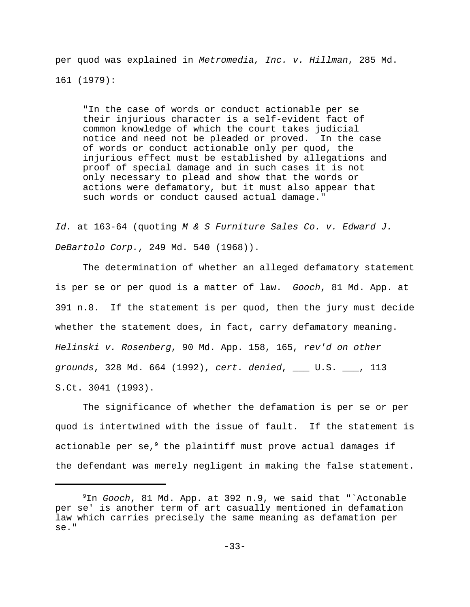per quod was explained in *Metromedia, Inc. v. Hillman*, 285 Md. 161 (1979):

"In the case of words or conduct actionable per se their injurious character is a self-evident fact of common knowledge of which the court takes judicial notice and need not be pleaded or proved. In the case of words or conduct actionable only per quod, the injurious effect must be established by allegations and proof of special damage and in such cases it is not only necessary to plead and show that the words or actions were defamatory, but it must also appear that such words or conduct caused actual damage."

*Id.* at 163-64 (quoting *M & S Furniture Sales Co. v. Edward J. DeBartolo Corp.*, 249 Md. 540 (1968)).

The determination of whether an alleged defamatory statement is per se or per quod is a matter of law. *Gooch*, 81 Md. App. at 391 n.8. If the statement is per quod, then the jury must decide whether the statement does, in fact, carry defamatory meaning. *Helinski v. Rosenberg*, 90 Md. App. 158, 165, *rev'd on other grounds*, 328 Md. 664 (1992), *cert. denied*, \_\_\_ U.S. \_\_\_, 113 S.Ct. 3041 (1993).

The significance of whether the defamation is per se or per quod is intertwined with the issue of fault. If the statement is actionable per se,  $9$  the plaintiff must prove actual damages if the defendant was merely negligent in making the false statement.

<sup>&</sup>lt;sup>9</sup>In *Gooch*, 81 Md. App. at 392 n.9, we said that "`Actonable per se' is another term of art casually mentioned in defamation law which carries precisely the same meaning as defamation per se."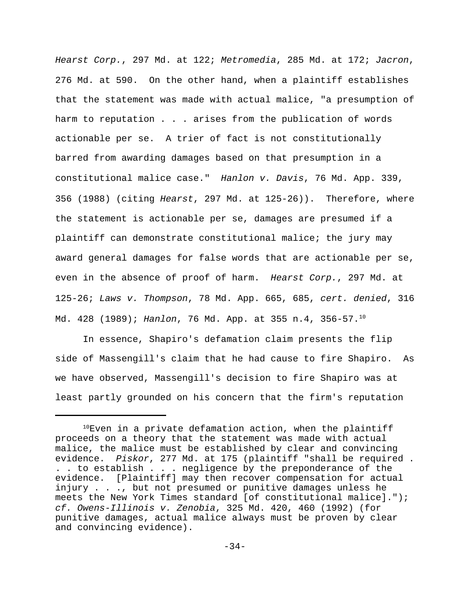*Hearst Corp.*, 297 Md. at 122; *Metromedia*, 285 Md. at 172; *Jacron*, 276 Md. at 590. On the other hand, when a plaintiff establishes that the statement was made with actual malice, "a presumption of harm to reputation . . . arises from the publication of words actionable per se. A trier of fact is not constitutionally barred from awarding damages based on that presumption in a constitutional malice case." *Hanlon v. Davis*, 76 Md. App. 339, 356 (1988) (citing *Hearst*, 297 Md. at 125-26)). Therefore, where the statement is actionable per se, damages are presumed if a plaintiff can demonstrate constitutional malice; the jury may award general damages for false words that are actionable per se, even in the absence of proof of harm. *Hearst Corp.*, 297 Md. at 125-26; *Laws v. Thompson*, 78 Md. App. 665, 685, *cert. denied*, 316 Md. 428 (1989); *Hanlon*, 76 Md. App. at 355 n.4, 356-57.<sup>10</sup>

In essence, Shapiro's defamation claim presents the flip side of Massengill's claim that he had cause to fire Shapiro. As we have observed, Massengill's decision to fire Shapiro was at least partly grounded on his concern that the firm's reputation

 $10$ Even in a private defamation action, when the plaintiff proceeds on a theory that the statement was made with actual malice, the malice must be established by clear and convincing evidence. *Piskor*, 277 Md. at 175 (plaintiff "shall be required . . . to establish . . . negligence by the preponderance of the evidence. [Plaintiff] may then recover compensation for actual injury . . ., but not presumed or punitive damages unless he meets the New York Times standard [of constitutional malice]."); *cf. Owens-Illinois v. Zenobia*, 325 Md. 420, 460 (1992) (for punitive damages, actual malice always must be proven by clear and convincing evidence).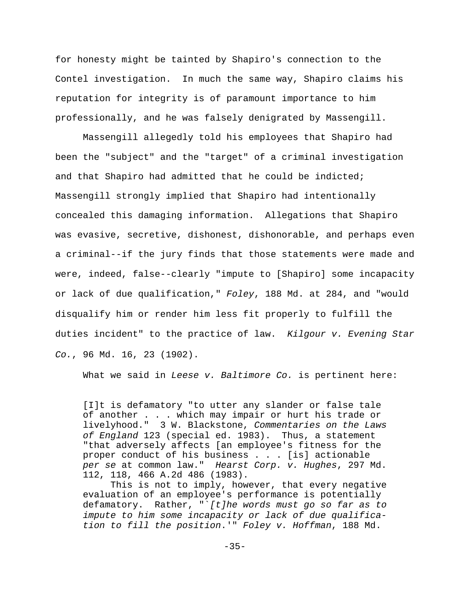for honesty might be tainted by Shapiro's connection to the Contel investigation. In much the same way, Shapiro claims his reputation for integrity is of paramount importance to him professionally, and he was falsely denigrated by Massengill.

Massengill allegedly told his employees that Shapiro had been the "subject" and the "target" of a criminal investigation and that Shapiro had admitted that he could be indicted; Massengill strongly implied that Shapiro had intentionally concealed this damaging information. Allegations that Shapiro was evasive, secretive, dishonest, dishonorable, and perhaps even a criminal--if the jury finds that those statements were made and were, indeed, false--clearly "impute to [Shapiro] some incapacity or lack of due qualification," *Foley*, 188 Md. at 284, and "would disqualify him or render him less fit properly to fulfill the duties incident" to the practice of law. *Kilgour v. Evening Star Co.*, 96 Md. 16, 23 (1902).

What we said in *Leese v. Baltimore Co.* is pertinent here:

[I]t is defamatory "to utter any slander or false tale of another . . . which may impair or hurt his trade or livelyhood." 3 W. Blackstone, *Commentaries on the Laws of England* 123 (special ed. 1983). Thus, a statement "that adversely affects [an employee's fitness for the proper conduct of his business . . . [is] actionable *per se* at common law." *Hearst Corp. v. Hughes*, 297 Md. 112, 118, 466 A.2d 486 (1983).

This is not to imply, however, that every negative evaluation of an employee's performance is potentially defamatory. Rather, "`*[t]he words must go so far as to impute to him some incapacity or lack of due qualification to fill the position*.'" *Foley v. Hoffman*, 188 Md.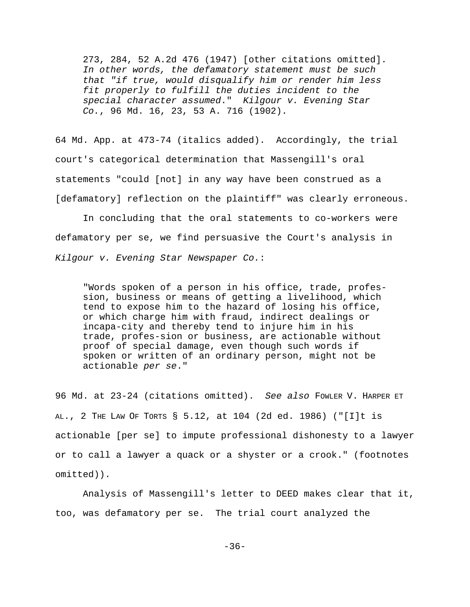273, 284, 52 A.2d 476 (1947) [other citations omitted]. *In other words, the defamatory statement must be such that "if true, would disqualify him or render him less fit properly to fulfill the duties incident to the special character assumed*." *Kilgour v. Evening Star Co.*, 96 Md. 16, 23, 53 A. 716 (1902).

64 Md. App. at 473-74 (italics added). Accordingly, the trial court's categorical determination that Massengill's oral statements "could [not] in any way have been construed as a [defamatory] reflection on the plaintiff" was clearly erroneous.

In concluding that the oral statements to co-workers were defamatory per se, we find persuasive the Court's analysis in *Kilgour v. Evening Star Newspaper Co.*:

"Words spoken of a person in his office, trade, profession, business or means of getting a livelihood, which tend to expose him to the hazard of losing his office, or which charge him with fraud, indirect dealings or incapa-city and thereby tend to injure him in his trade, profes-sion or business, are actionable without proof of special damage, even though such words if spoken or written of an ordinary person, might not be actionable *per se*."

96 Md. at 23-24 (citations omitted). *See also* FOWLER V. HARPER ET AL., 2 THE LAW OF TORTS § 5.12, at 104 (2d ed. 1986) ("[I]t is actionable [per se] to impute professional dishonesty to a lawyer or to call a lawyer a quack or a shyster or a crook." (footnotes omitted)).

Analysis of Massengill's letter to DEED makes clear that it, too, was defamatory per se. The trial court analyzed the

-36-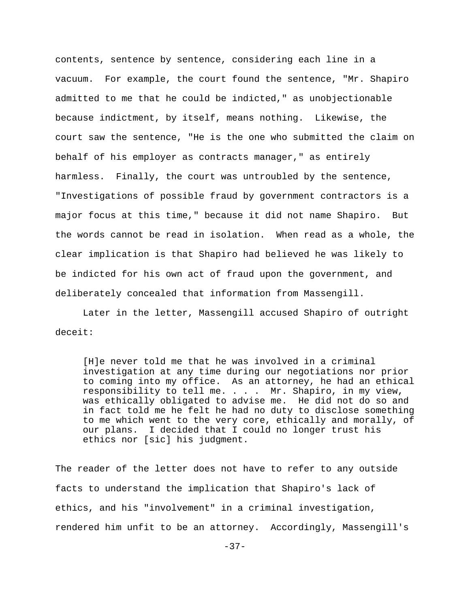contents, sentence by sentence, considering each line in a vacuum. For example, the court found the sentence, "Mr. Shapiro admitted to me that he could be indicted," as unobjectionable because indictment, by itself, means nothing. Likewise, the court saw the sentence, "He is the one who submitted the claim on behalf of his employer as contracts manager," as entirely harmless. Finally, the court was untroubled by the sentence, "Investigations of possible fraud by government contractors is a major focus at this time," because it did not name Shapiro. But the words cannot be read in isolation. When read as a whole, the clear implication is that Shapiro had believed he was likely to be indicted for his own act of fraud upon the government, and deliberately concealed that information from Massengill.

Later in the letter, Massengill accused Shapiro of outright deceit:

[H]e never told me that he was involved in a criminal investigation at any time during our negotiations nor prior to coming into my office. As an attorney, he had an ethical responsibility to tell me. . . . Mr. Shapiro, in my view, was ethically obligated to advise me. He did not do so and in fact told me he felt he had no duty to disclose something to me which went to the very core, ethically and morally, of our plans. I decided that I could no longer trust his ethics nor [sic] his judgment.

The reader of the letter does not have to refer to any outside facts to understand the implication that Shapiro's lack of ethics, and his "involvement" in a criminal investigation, rendered him unfit to be an attorney. Accordingly, Massengill's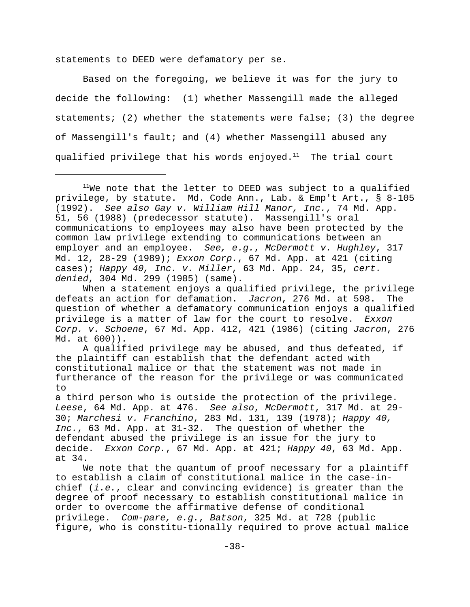statements to DEED were defamatory per se.

Based on the foregoing, we believe it was for the jury to decide the following: (1) whether Massengill made the alleged statements; (2) whether the statements were false; (3) the degree of Massengill's fault; and (4) whether Massengill abused any qualified privilege that his words enjoyed. $11$  The trial court

 $11$ We note that the letter to DEED was subject to a qualified privilege, by statute. Md. Code Ann., Lab. & Emp't Art., § 8-105 (1992). *See also Gay v. William Hill Manor, Inc.*, 74 Md. App. 51, 56 (1988) (predecessor statute). Massengill's oral communications to employees may also have been protected by the common law privilege extending to communications between an employer and an employee. *See, e.g.*, *McDermott v. Hughley*, 317 Md. 12, 28-29 (1989); *Exxon Corp.*, 67 Md. App. at 421 (citing cases); *Happy 40, Inc. v. Miller*, 63 Md. App. 24, 35, *cert. denied*, 304 Md. 299 (1985) (same).

When a statement enjoys a qualified privilege, the privilege defeats an action for defamation. *Jacron*, 276 Md. at 598. The question of whether a defamatory communication enjoys a qualified privilege is a matter of law for the court to resolve. *Exxon Corp. v. Schoene*, 67 Md. App. 412, 421 (1986) (citing *Jacron*, 276 Md. at 600)).

A qualified privilege may be abused, and thus defeated, if the plaintiff can establish that the defendant acted with constitutional malice or that the statement was not made in furtherance of the reason for the privilege or was communicated to

a third person who is outside the protection of the privilege. *Leese*, 64 Md. App. at 476. *See also*, *McDermott*, 317 Md. at 29- 30; *Marchesi v. Franchino*, 283 Md. 131, 139 (1978); *Happy 40, Inc.*, 63 Md. App. at 31-32. The question of whether the defendant abused the privilege is an issue for the jury to decide. *Exxon Corp.*, 67 Md. App. at 421; *Happy 40*, 63 Md. App. at 34.

We note that the quantum of proof necessary for a plaintiff to establish a claim of constitutional malice in the case-inchief (*i.e.*, clear and convincing evidence) is greater than the degree of proof necessary to establish constitutional malice in order to overcome the affirmative defense of conditional privilege. *Com-pare, e.g.*, *Batson*, 325 Md. at 728 (public figure, who is constitu-tionally required to prove actual malice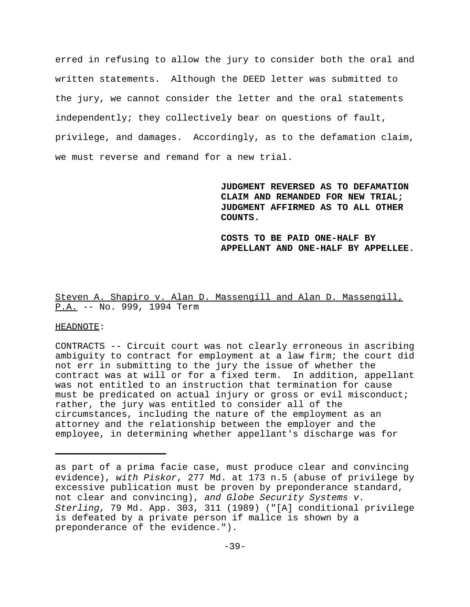erred in refusing to allow the jury to consider both the oral and written statements. Although the DEED letter was submitted to the jury, we cannot consider the letter and the oral statements independently; they collectively bear on questions of fault, privilege, and damages. Accordingly, as to the defamation claim, we must reverse and remand for a new trial.

> **JUDGMENT REVERSED AS TO DEFAMATION CLAIM AND REMANDED FOR NEW TRIAL; JUDGMENT AFFIRMED AS TO ALL OTHER COUNTS.**

**COSTS TO BE PAID ONE-HALF BY APPELLANT AND ONE-HALF BY APPELLEE.**

# Steven A. Shapiro v. Alan D. Massengill and Alan D. Massengill, P.A. -- No. 999, 1994 Term

### HEADNOTE:

CONTRACTS -- Circuit court was not clearly erroneous in ascribing ambiguity to contract for employment at a law firm; the court did not err in submitting to the jury the issue of whether the contract was at will or for a fixed term. In addition, appellant was not entitled to an instruction that termination for cause must be predicated on actual injury or gross or evil misconduct; rather, the jury was entitled to consider all of the circumstances, including the nature of the employment as an attorney and the relationship between the employer and the employee, in determining whether appellant's discharge was for

as part of a prima facie case, must produce clear and convincing evidence), *with Piskor*, 277 Md. at 173 n.5 (abuse of privilege by excessive publication must be proven by preponderance standard, not clear and convincing), *and Globe Security Systems v. Sterling*, 79 Md. App. 303, 311 (1989) ("[A] conditional privilege is defeated by a private person if malice is shown by a preponderance of the evidence.").